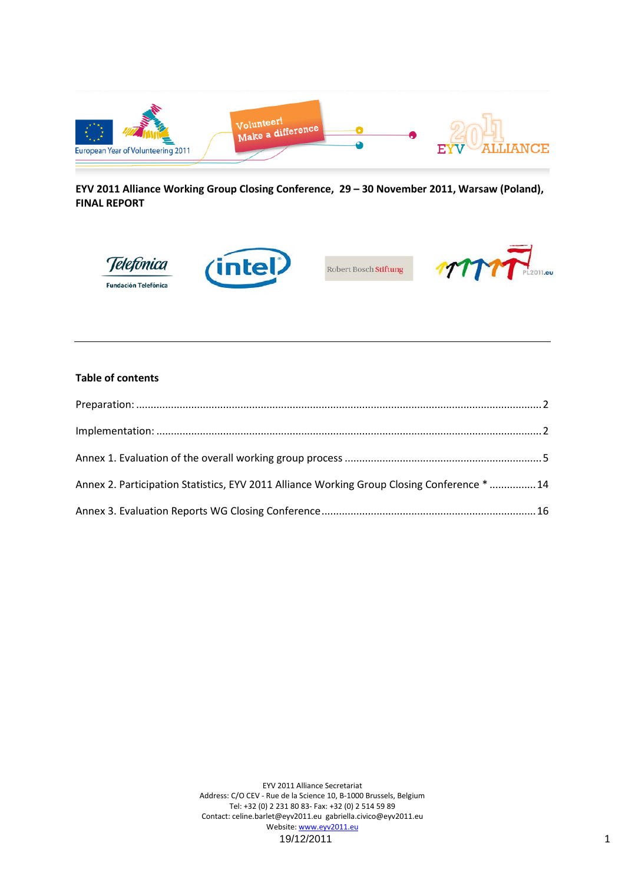

**EYV 2011 Alliance Working Group Closing Conference, 29 – 30 November 2011, Warsaw (Poland), FINAL REPORT**



#### **Table of contents**

| Annex 2. Participation Statistics, EYV 2011 Alliance Working Group Closing Conference *  14 |  |
|---------------------------------------------------------------------------------------------|--|
|                                                                                             |  |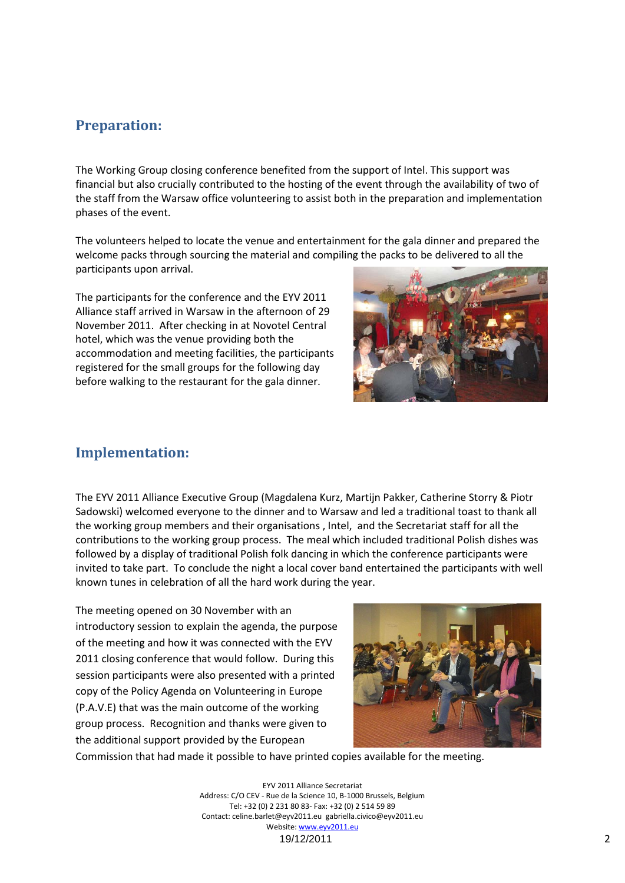# **Preparation:**

The Working Group closing conference benefited from the support of Intel. This support was financial but also crucially contributed to the hosting of the event through the availability of two of the staff from the Warsaw office volunteering to assist both in the preparation and implementation phases of the event.

The volunteers helped to locate the venue and entertainment for the gala dinner and prepared the welcome packs through sourcing the material and compiling the packs to be delivered to all the participants upon arrival.

The participants for the conference and the EYV 2011 Alliance staff arrived in Warsaw in the afternoon of 29 November 2011. After checking in at Novotel Central hotel, which was the venue providing both the accommodation and meeting facilities, the participants registered for the small groups for the following day before walking to the restaurant for the gala dinner.



# **Implementation:**

The EYV 2011 Alliance Executive Group (Magdalena Kurz, Martijn Pakker, Catherine Storry & Piotr Sadowski) welcomed everyone to the dinner and to Warsaw and led a traditional toast to thank all the working group members and their organisations , Intel, and the Secretariat staff for all the contributions to the working group process. The meal which included traditional Polish dishes was followed by a display of traditional Polish folk dancing in which the conference participants were invited to take part. To conclude the night a local cover band entertained the participants with well known tunes in celebration of all the hard work during the year.

The meeting opened on 30 November with an introductory session to explain the agenda, the purpose of the meeting and how it was connected with the EYV 2011 closing conference that would follow. During this session participants were also presented with a printed copy of the Policy Agenda on Volunteering in Europe (P.A.V.E) that was the main outcome of the working group process. Recognition and thanks were given to the additional support provided by the European



Commission that had made it possible to have printed copies available for the meeting.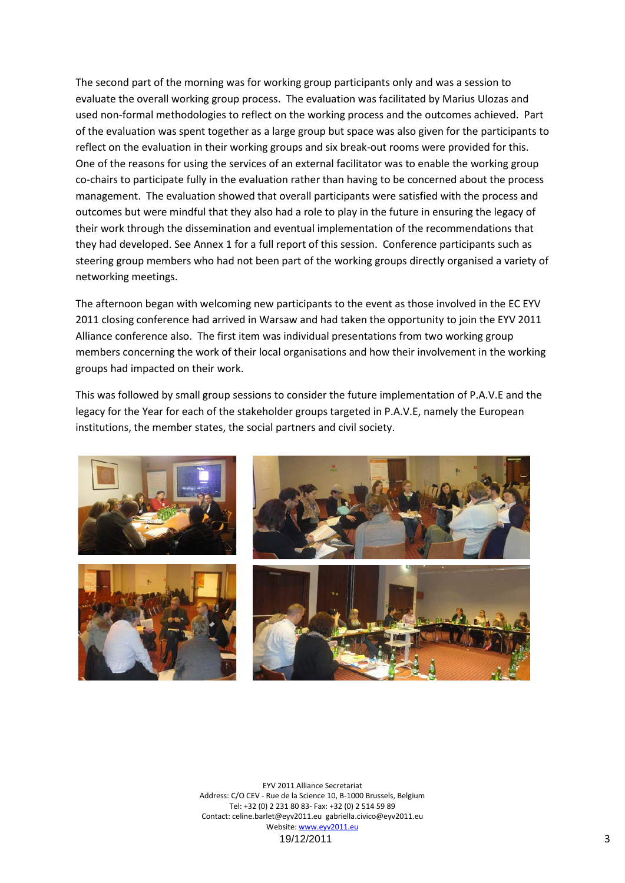The second part of the morning was for working group participants only and was a session to evaluate the overall working group process. The evaluation was facilitated by Marius Ulozas and used non-formal methodologies to reflect on the working process and the outcomes achieved. Part of the evaluation was spent together as a large group but space was also given for the participants to reflect on the evaluation in their working groups and six break-out rooms were provided for this. One of the reasons for using the services of an external facilitator was to enable the working group co-chairs to participate fully in the evaluation rather than having to be concerned about the process management. The evaluation showed that overall participants were satisfied with the process and outcomes but were mindful that they also had a role to play in the future in ensuring the legacy of their work through the dissemination and eventual implementation of the recommendations that they had developed. See Annex 1 for a full report of this session. Conference participants such as steering group members who had not been part of the working groups directly organised a variety of networking meetings.

The afternoon began with welcoming new participants to the event as those involved in the EC EYV 2011 closing conference had arrived in Warsaw and had taken the opportunity to join the EYV 2011 Alliance conference also. The first item was individual presentations from two working group members concerning the work of their local organisations and how their involvement in the working groups had impacted on their work.

This was followed by small group sessions to consider the future implementation of P.A.V.E and the legacy for the Year for each of the stakeholder groups targeted in P.A.V.E, namely the European institutions, the member states, the social partners and civil society.

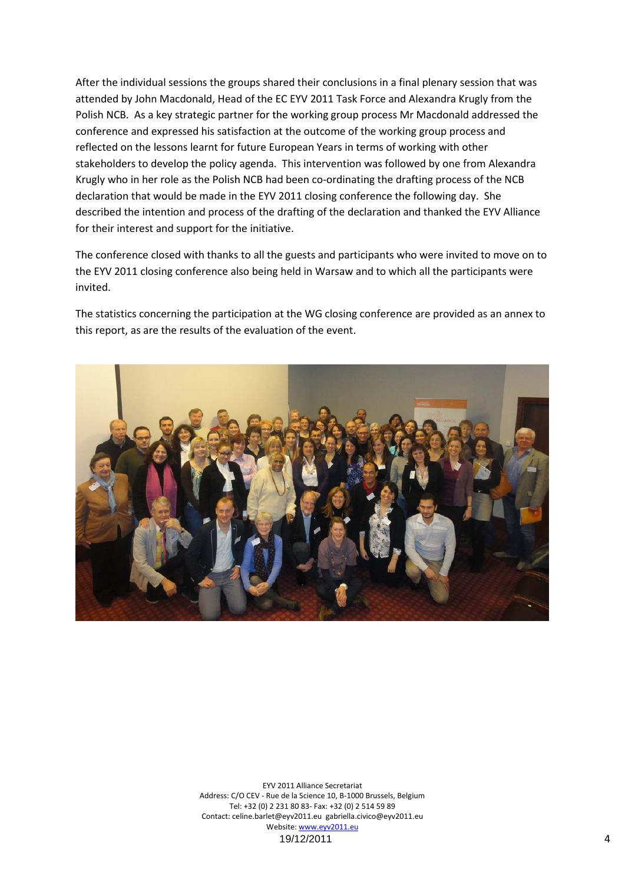After the individual sessions the groups shared their conclusions in a final plenary session that was attended by John Macdonald, Head of the EC EYV 2011 Task Force and Alexandra Krugly from the Polish NCB. As a key strategic partner for the working group process Mr Macdonald addressed the conference and expressed his satisfaction at the outcome of the working group process and reflected on the lessons learnt for future European Years in terms of working with other stakeholders to develop the policy agenda. This intervention was followed by one from Alexandra Krugly who in her role as the Polish NCB had been co-ordinating the drafting process of the NCB declaration that would be made in the EYV 2011 closing conference the following day. She described the intention and process of the drafting of the declaration and thanked the EYV Alliance for their interest and support for the initiative.

The conference closed with thanks to all the guests and participants who were invited to move on to the EYV 2011 closing conference also being held in Warsaw and to which all the participants were invited.

The statistics concerning the participation at the WG closing conference are provided as an annex to this report, as are the results of the evaluation of the event.

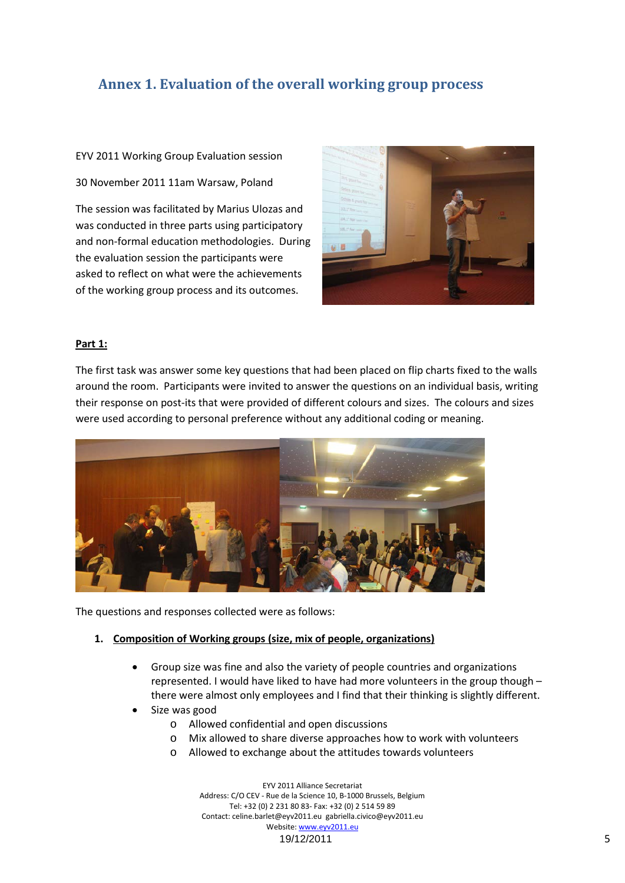# **Annex 1. Evaluation of the overall working group process**

EYV 2011 Working Group Evaluation session

30 November 2011 11am Warsaw, Poland

The session was facilitated by Marius Ulozas and was conducted in three parts using participatory and non-formal education methodologies. During the evaluation session the participants were asked to reflect on what were the achievements of the working group process and its outcomes.



#### **Part 1:**

The first task was answer some key questions that had been placed on flip charts fixed to the walls around the room. Participants were invited to answer the questions on an individual basis, writing their response on post-its that were provided of different colours and sizes. The colours and sizes were used according to personal preference without any additional coding or meaning.



The questions and responses collected were as follows:

#### **1. Composition of Working groups (size, mix of people, organizations)**

- Group size was fine and also the variety of people countries and organizations represented. I would have liked to have had more volunteers in the group though – there were almost only employees and I find that their thinking is slightly different.
- Size was good
	- o Allowed confidential and open discussions
	- o Mix allowed to share diverse approaches how to work with volunteers
	- o Allowed to exchange about the attitudes towards volunteers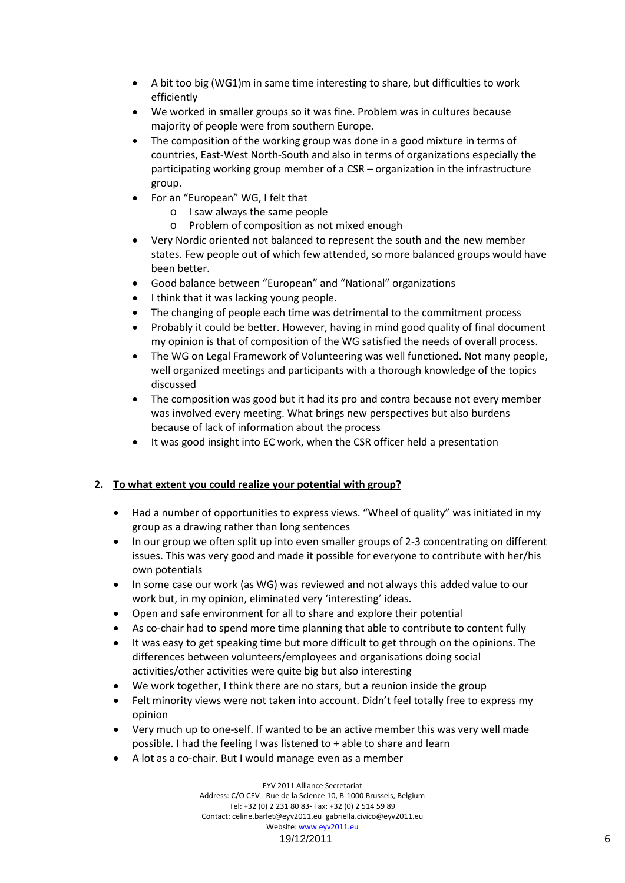- A bit too big (WG1)m in same time interesting to share, but difficulties to work efficiently
- We worked in smaller groups so it was fine. Problem was in cultures because majority of people were from southern Europe.
- The composition of the working group was done in a good mixture in terms of countries, East-West North-South and also in terms of organizations especially the participating working group member of a CSR – organization in the infrastructure group.
- For an "European" WG, I felt that
	- o I saw always the same people
	- o Problem of composition as not mixed enough
- Very Nordic oriented not balanced to represent the south and the new member states. Few people out of which few attended, so more balanced groups would have been better.
- Good balance between "European" and "National" organizations
- I think that it was lacking young people.
- The changing of people each time was detrimental to the commitment process
- Probably it could be better. However, having in mind good quality of final document my opinion is that of composition of the WG satisfied the needs of overall process.
- The WG on Legal Framework of Volunteering was well functioned. Not many people, well organized meetings and participants with a thorough knowledge of the topics discussed
- The composition was good but it had its pro and contra because not every member was involved every meeting. What brings new perspectives but also burdens because of lack of information about the process
- It was good insight into EC work, when the CSR officer held a presentation

### **2. To what extent you could realize your potential with group?**

- Had a number of opportunities to express views. "Wheel of quality" was initiated in my group as a drawing rather than long sentences
- In our group we often split up into even smaller groups of 2-3 concentrating on different issues. This was very good and made it possible for everyone to contribute with her/his own potentials
- In some case our work (as WG) was reviewed and not always this added value to our work but, in my opinion, eliminated very 'interesting' ideas.
- Open and safe environment for all to share and explore their potential
- As co-chair had to spend more time planning that able to contribute to content fully
- It was easy to get speaking time but more difficult to get through on the opinions. The differences between volunteers/employees and organisations doing social activities/other activities were quite big but also interesting
- We work together, I think there are no stars, but a reunion inside the group
- Felt minority views were not taken into account. Didn't feel totally free to express my opinion
- Very much up to one-self. If wanted to be an active member this was very well made possible. I had the feeling I was listened to + able to share and learn
- A lot as a co-chair. But I would manage even as a member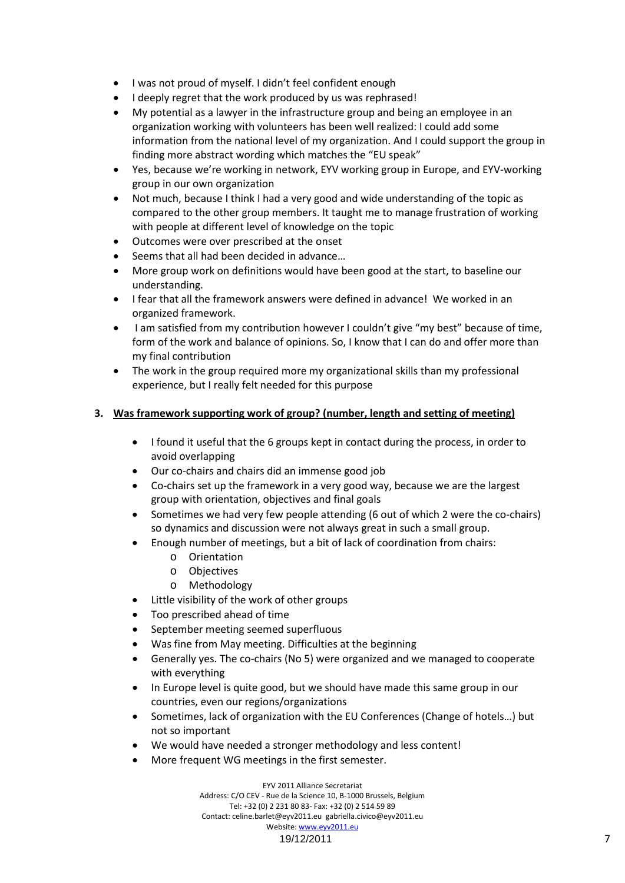- I was not proud of myself. I didn't feel confident enough
- I deeply regret that the work produced by us was rephrased!
- My potential as a lawyer in the infrastructure group and being an employee in an organization working with volunteers has been well realized: I could add some information from the national level of my organization. And I could support the group in finding more abstract wording which matches the "EU speak"
- Yes, because we're working in network, EYV working group in Europe, and EYV-working group in our own organization
- Not much, because I think I had a very good and wide understanding of the topic as compared to the other group members. It taught me to manage frustration of working with people at different level of knowledge on the topic
- Outcomes were over prescribed at the onset
- Seems that all had been decided in advance…
- More group work on definitions would have been good at the start, to baseline our understanding.
- I fear that all the framework answers were defined in advance! We worked in an organized framework.
- I am satisfied from my contribution however I couldn't give "my best" because of time, form of the work and balance of opinions. So, I know that I can do and offer more than my final contribution
- The work in the group required more my organizational skills than my professional experience, but I really felt needed for this purpose

### **3. Was framework supporting work of group? (number, length and setting of meeting)**

- I found it useful that the 6 groups kept in contact during the process, in order to avoid overlapping
- Our co-chairs and chairs did an immense good job
- Co-chairs set up the framework in a very good way, because we are the largest group with orientation, objectives and final goals
- Sometimes we had very few people attending (6 out of which 2 were the co-chairs) so dynamics and discussion were not always great in such a small group.
- Enough number of meetings, but a bit of lack of coordination from chairs:
	- o Orientation
	- o Objectives
	- o Methodology
- Little visibility of the work of other groups
- Too prescribed ahead of time
- September meeting seemed superfluous
- Was fine from May meeting. Difficulties at the beginning
- Generally yes. The co-chairs (No 5) were organized and we managed to cooperate with everything
- In Europe level is quite good, but we should have made this same group in our countries, even our regions/organizations
- Sometimes, lack of organization with the EU Conferences (Change of hotels…) but not so important
- We would have needed a stronger methodology and less content!
- More frequent WG meetings in the first semester.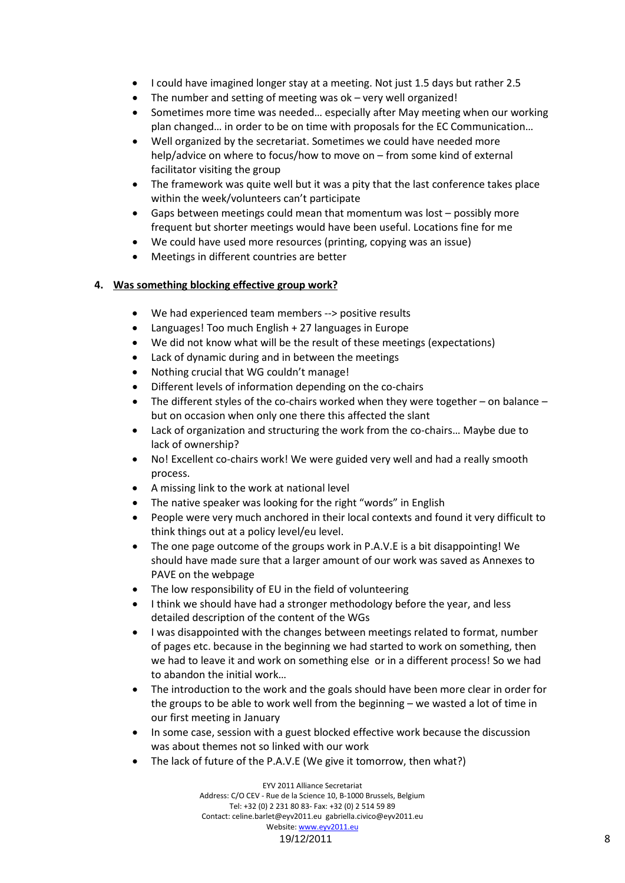- I could have imagined longer stay at a meeting. Not just 1.5 days but rather 2.5
- The number and setting of meeting was  $ok very$  well organized!
- Sometimes more time was needed… especially after May meeting when our working plan changed… in order to be on time with proposals for the EC Communication…
- Well organized by the secretariat. Sometimes we could have needed more help/advice on where to focus/how to move on – from some kind of external facilitator visiting the group
- The framework was quite well but it was a pity that the last conference takes place within the week/volunteers can't participate
- Gaps between meetings could mean that momentum was lost possibly more frequent but shorter meetings would have been useful. Locations fine for me
- We could have used more resources (printing, copying was an issue)
- Meetings in different countries are better

### **4. Was something blocking effective group work?**

- We had experienced team members --> positive results
- Languages! Too much English + 27 languages in Europe
- We did not know what will be the result of these meetings (expectations)
- Lack of dynamic during and in between the meetings
- Nothing crucial that WG couldn't manage!
- Different levels of information depending on the co-chairs
- The different styles of the co-chairs worked when they were together on balance but on occasion when only one there this affected the slant
- Lack of organization and structuring the work from the co-chairs... Maybe due to lack of ownership?
- No! Excellent co-chairs work! We were guided very well and had a really smooth process.
- A missing link to the work at national level
- The native speaker was looking for the right "words" in English
- People were very much anchored in their local contexts and found it very difficult to think things out at a policy level/eu level.
- The one page outcome of the groups work in P.A.V.E is a bit disappointing! We should have made sure that a larger amount of our work was saved as Annexes to PAVE on the webpage
- The low responsibility of EU in the field of volunteering
- I think we should have had a stronger methodology before the year, and less detailed description of the content of the WGs
- I was disappointed with the changes between meetings related to format, number of pages etc. because in the beginning we had started to work on something, then we had to leave it and work on something else or in a different process! So we had to abandon the initial work…
- The introduction to the work and the goals should have been more clear in order for the groups to be able to work well from the beginning – we wasted a lot of time in our first meeting in January
- In some case, session with a guest blocked effective work because the discussion was about themes not so linked with our work
- The lack of future of the P.A.V.E (We give it tomorrow, then what?)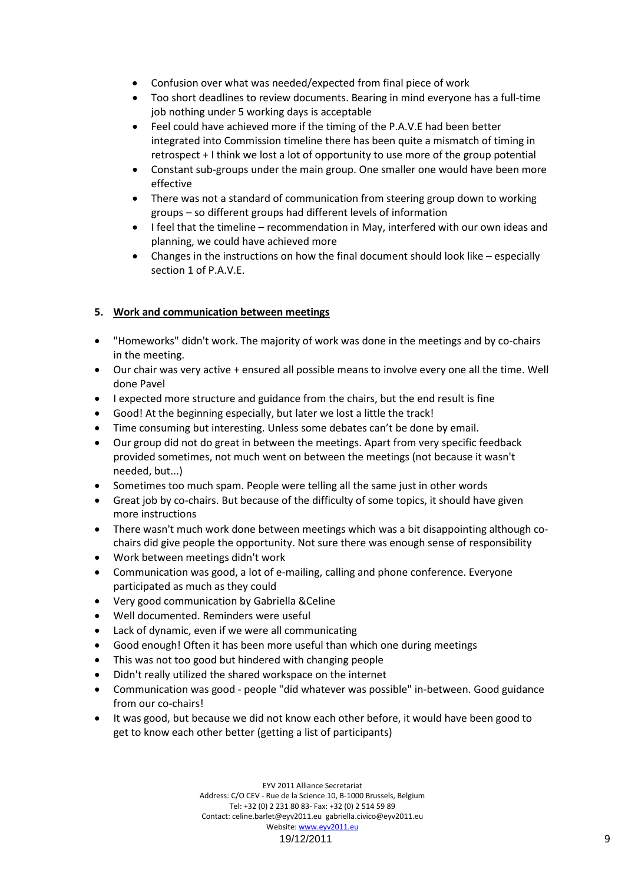- Confusion over what was needed/expected from final piece of work
- Too short deadlines to review documents. Bearing in mind everyone has a full-time job nothing under 5 working days is acceptable
- Feel could have achieved more if the timing of the P.A.V.E had been better integrated into Commission timeline there has been quite a mismatch of timing in retrospect + I think we lost a lot of opportunity to use more of the group potential
- Constant sub-groups under the main group. One smaller one would have been more effective
- There was not a standard of communication from steering group down to working groups – so different groups had different levels of information
- I feel that the timeline recommendation in May, interfered with our own ideas and planning, we could have achieved more
- Changes in the instructions on how the final document should look like especially section 1 of P.A.V.E.

## **5. Work and communication between meetings**

- "Homeworks" didn't work. The majority of work was done in the meetings and by co-chairs in the meeting.
- Our chair was very active + ensured all possible means to involve every one all the time. Well done Pavel
- I expected more structure and guidance from the chairs, but the end result is fine
- Good! At the beginning especially, but later we lost a little the track!
- Time consuming but interesting. Unless some debates can't be done by email.
- Our group did not do great in between the meetings. Apart from very specific feedback provided sometimes, not much went on between the meetings (not because it wasn't needed, but...)
- Sometimes too much spam. People were telling all the same just in other words
- Great job by co-chairs. But because of the difficulty of some topics, it should have given more instructions
- There wasn't much work done between meetings which was a bit disappointing although cochairs did give people the opportunity. Not sure there was enough sense of responsibility
- Work between meetings didn't work
- Communication was good, a lot of e-mailing, calling and phone conference. Everyone participated as much as they could
- Very good communication by Gabriella &Celine
- Well documented. Reminders were useful
- Lack of dynamic, even if we were all communicating
- Good enough! Often it has been more useful than which one during meetings
- This was not too good but hindered with changing people
- Didn't really utilized the shared workspace on the internet
- Communication was good people "did whatever was possible" in-between. Good guidance from our co-chairs!
- It was good, but because we did not know each other before, it would have been good to get to know each other better (getting a list of participants)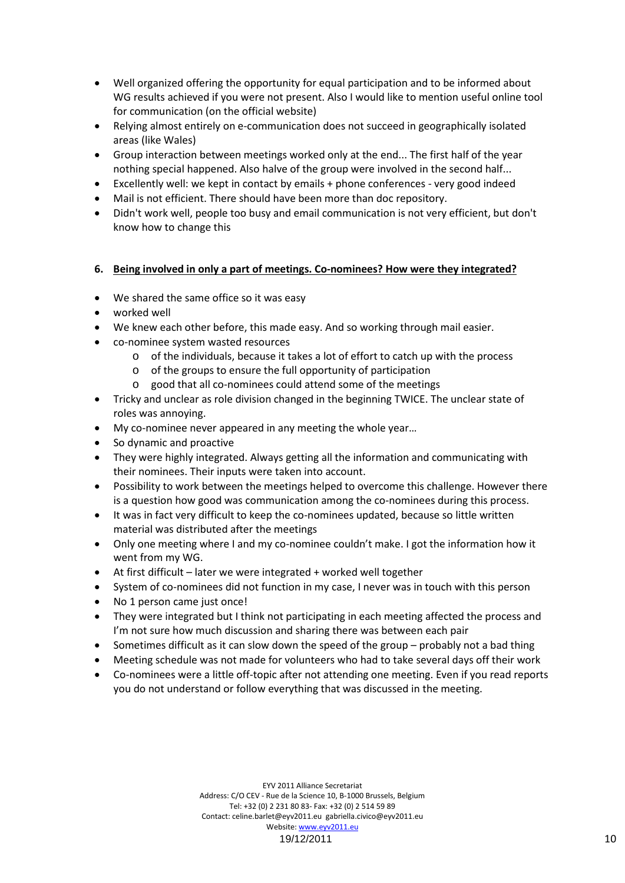- Well organized offering the opportunity for equal participation and to be informed about WG results achieved if you were not present. Also I would like to mention useful online tool for communication (on the official website)
- Relying almost entirely on e-communication does not succeed in geographically isolated areas (like Wales)
- Group interaction between meetings worked only at the end... The first half of the year nothing special happened. Also halve of the group were involved in the second half...
- Excellently well: we kept in contact by emails + phone conferences very good indeed
- Mail is not efficient. There should have been more than doc repository.
- Didn't work well, people too busy and email communication is not very efficient, but don't know how to change this

#### **6. Being involved in only a part of meetings. Co-nominees? How were they integrated?**

- We shared the same office so it was easy
- worked well
- We knew each other before, this made easy. And so working through mail easier.
- co-nominee system wasted resources
	- o of the individuals, because it takes a lot of effort to catch up with the process
	- o of the groups to ensure the full opportunity of participation
	- o good that all co-nominees could attend some of the meetings
- Tricky and unclear as role division changed in the beginning TWICE. The unclear state of roles was annoying.
- My co-nominee never appeared in any meeting the whole year...
- So dynamic and proactive
- They were highly integrated. Always getting all the information and communicating with their nominees. Their inputs were taken into account.
- Possibility to work between the meetings helped to overcome this challenge. However there is a question how good was communication among the co-nominees during this process.
- It was in fact very difficult to keep the co-nominees updated, because so little written material was distributed after the meetings
- Only one meeting where I and my co-nominee couldn't make. I got the information how it went from my WG.
- At first difficult later we were integrated + worked well together
- System of co-nominees did not function in my case, I never was in touch with this person
- No 1 person came just once!
- They were integrated but I think not participating in each meeting affected the process and I'm not sure how much discussion and sharing there was between each pair
- Sometimes difficult as it can slow down the speed of the group probably not a bad thing
- Meeting schedule was not made for volunteers who had to take several days off their work
- Co-nominees were a little off-topic after not attending one meeting. Even if you read reports you do not understand or follow everything that was discussed in the meeting.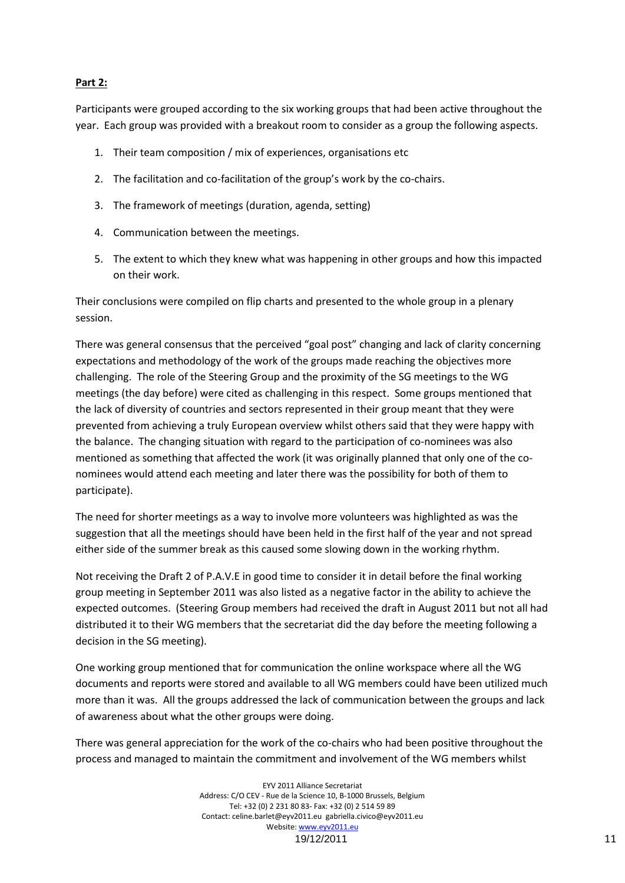#### **Part 2:**

Participants were grouped according to the six working groups that had been active throughout the year. Each group was provided with a breakout room to consider as a group the following aspects.

- 1. Their team composition / mix of experiences, organisations etc
- 2. The facilitation and co-facilitation of the group's work by the co-chairs.
- 3. The framework of meetings (duration, agenda, setting)
- 4. Communication between the meetings.
- 5. The extent to which they knew what was happening in other groups and how this impacted on their work.

Their conclusions were compiled on flip charts and presented to the whole group in a plenary session.

There was general consensus that the perceived "goal post" changing and lack of clarity concerning expectations and methodology of the work of the groups made reaching the objectives more challenging. The role of the Steering Group and the proximity of the SG meetings to the WG meetings (the day before) were cited as challenging in this respect. Some groups mentioned that the lack of diversity of countries and sectors represented in their group meant that they were prevented from achieving a truly European overview whilst others said that they were happy with the balance. The changing situation with regard to the participation of co-nominees was also mentioned as something that affected the work (it was originally planned that only one of the conominees would attend each meeting and later there was the possibility for both of them to participate).

The need for shorter meetings as a way to involve more volunteers was highlighted as was the suggestion that all the meetings should have been held in the first half of the year and not spread either side of the summer break as this caused some slowing down in the working rhythm.

Not receiving the Draft 2 of P.A.V.E in good time to consider it in detail before the final working group meeting in September 2011 was also listed as a negative factor in the ability to achieve the expected outcomes. (Steering Group members had received the draft in August 2011 but not all had distributed it to their WG members that the secretariat did the day before the meeting following a decision in the SG meeting).

One working group mentioned that for communication the online workspace where all the WG documents and reports were stored and available to all WG members could have been utilized much more than it was. All the groups addressed the lack of communication between the groups and lack of awareness about what the other groups were doing.

There was general appreciation for the work of the co-chairs who had been positive throughout the process and managed to maintain the commitment and involvement of the WG members whilst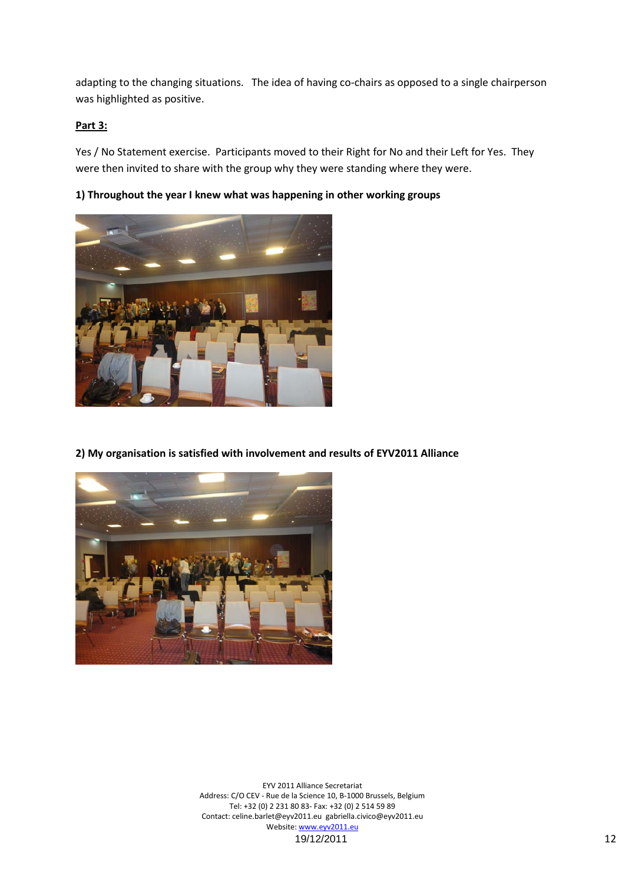adapting to the changing situations. The idea of having co-chairs as opposed to a single chairperson was highlighted as positive.

#### **Part 3:**

Yes / No Statement exercise. Participants moved to their Right for No and their Left for Yes. They were then invited to share with the group why they were standing where they were.

**1) Throughout the year I knew what was happening in other working groups**



**2) My organisation is satisfied with involvement and results of EYV2011 Alliance**

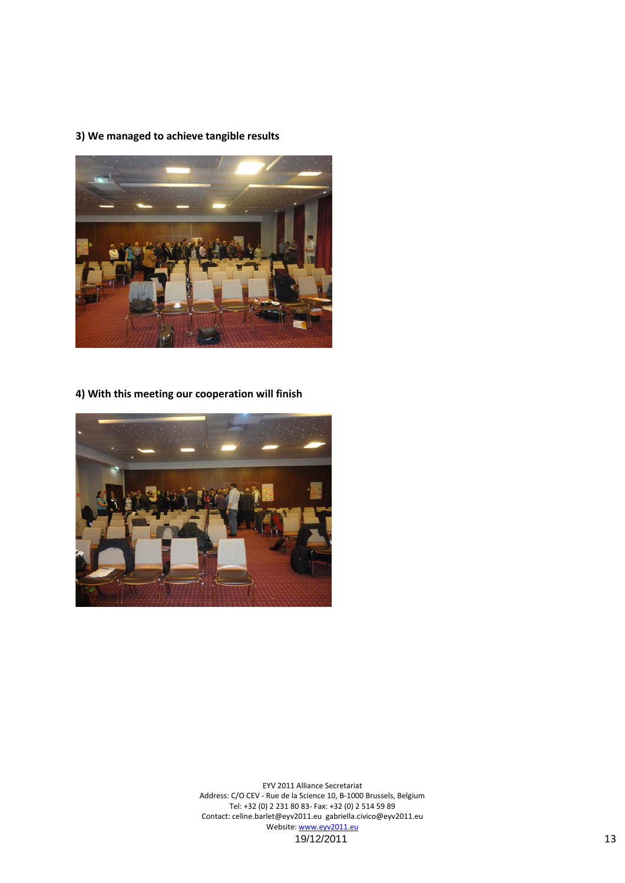## **3) We managed to achieve tangible results**



**4) With this meeting our cooperation will finish**

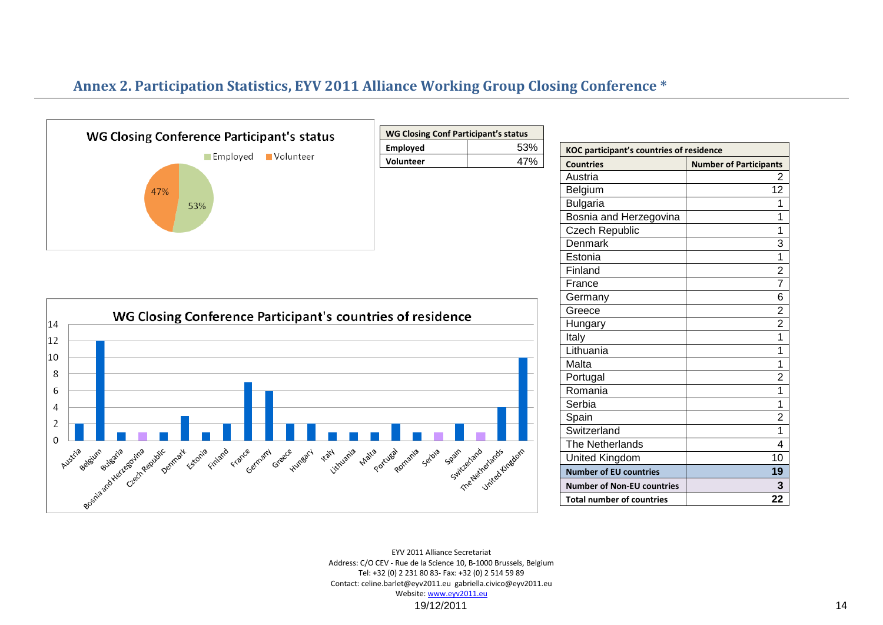# **Annex 2. Participation Statistics, EYV 2011 Alliance Working Group Closing Conference \***

![](_page_13_Figure_1.jpeg)

| WG Closing Conf Participant's status |     |
|--------------------------------------|-----|
| <b>Employed</b>                      | 53% |
| <b>Volunteer</b>                     | 47% |

![](_page_13_Figure_3.jpeg)

| <b>KOC participant's countries of residence</b> |                               |  |
|-------------------------------------------------|-------------------------------|--|
| <b>Countries</b>                                | <b>Number of Participants</b> |  |
| Austria                                         | 2                             |  |
| Belgium                                         | 12                            |  |
| <b>Bulgaria</b>                                 | 1                             |  |
| Bosnia and Herzegovina                          | 1                             |  |
| Czech Republic                                  | 1                             |  |
| Denmark                                         | 3                             |  |
| Estonia                                         | 1                             |  |
| Finland                                         | $\overline{c}$                |  |
| France                                          | 7                             |  |
| Germany                                         | 6                             |  |
| Greece                                          | $\overline{2}$                |  |
| Hungary                                         | $\overline{2}$                |  |
| Italy                                           | 1                             |  |
| Lithuania                                       | 1                             |  |
| Malta                                           | 1                             |  |
| Portugal                                        | 2                             |  |
| Romania                                         | 1                             |  |
| Serbia                                          | 1                             |  |
| Spain                                           | $\overline{2}$                |  |
| Switzerland                                     | 1                             |  |
| <b>The Netherlands</b>                          | 4                             |  |
| <b>United Kingdom</b>                           | 10                            |  |
| <b>Number of EU countries</b>                   | 19                            |  |
| <b>Number of Non-EU countries</b>               | 3                             |  |
| <b>Total number of countries</b>                | 22                            |  |

EYV 2011 Alliance Secretariat Address: C/O CEV - Rue de la Science 10, B-1000 Brussels, Belgium Tel: +32 (0) 2 231 80 83- Fax: +32 (0) 2 514 59 89 Contact: celine.barlet@eyv2011.eu gabriella.civico@eyv2011.eu Website: www.eyv2011.eu

19/12/2011 14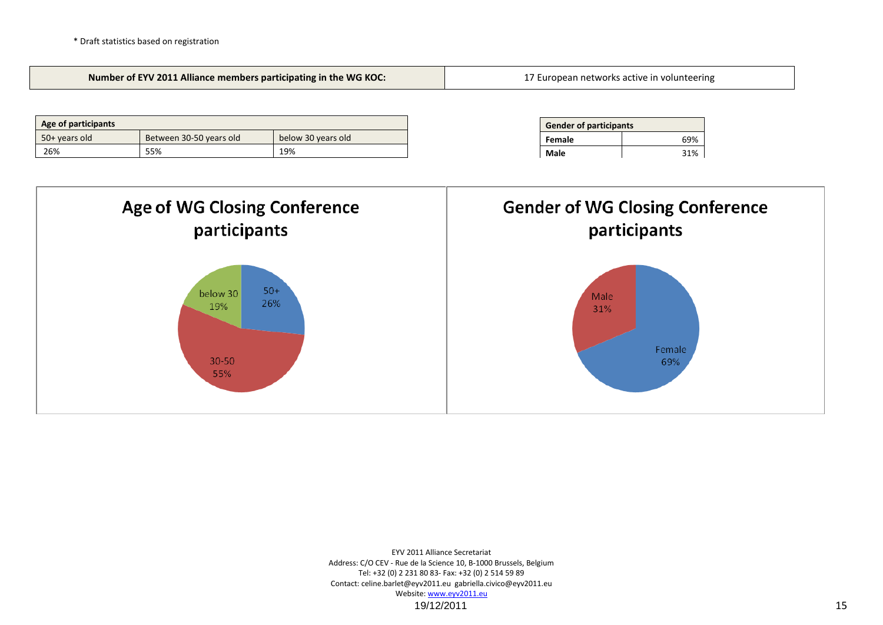![](_page_14_Figure_1.jpeg)